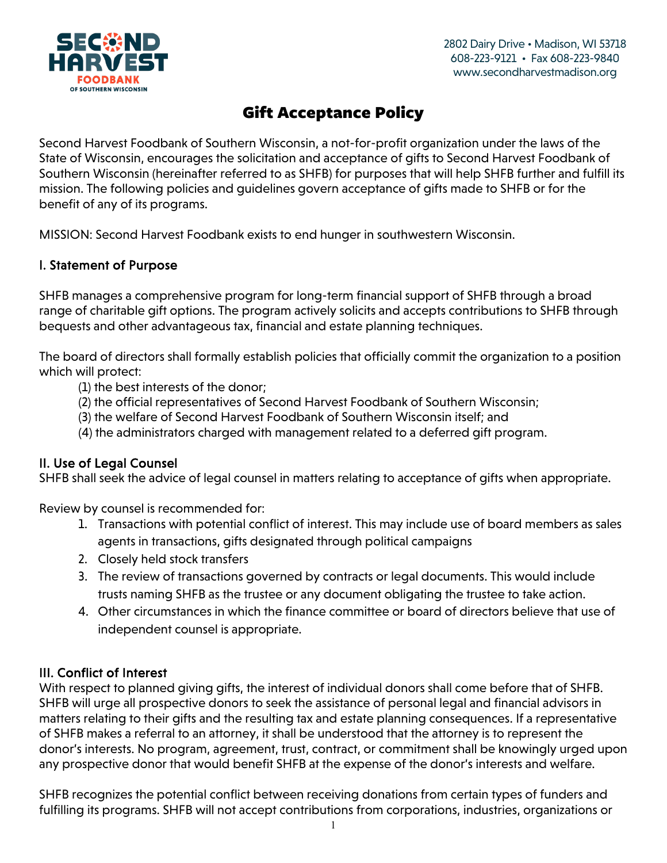

Second Harvest Foodbank of Southern Wisconsin, a not-for-profit organization under the laws of the State of Wisconsin, encourages the solicitation and acceptance of gifts to Second Harvest Foodbank of Southern Wisconsin (hereinafter referred to as SHFB) for purposes that will help SHFB further and fulfill its mission. The following policies and guidelines govern acceptance of gifts made to SHFB or for the benefit of any of its programs.

MISSION: Second Harvest Foodbank exists to end hunger in southwestern Wisconsin.

#### I. Statement of Purpose

SHFB manages a comprehensive program for long-term financial support of SHFB through a broad range of charitable gift options. The program actively solicits and accepts contributions to SHFB through bequests and other advantageous tax, financial and estate planning techniques.

The board of directors shall formally establish policies that officially commit the organization to a position which will protect:

- (1) the best interests of the donor;
- (2) the official representatives of Second Harvest Foodbank of Southern Wisconsin;
- (3) the welfare of Second Harvest Foodbank of Southern Wisconsin itself; and
- (4) the administrators charged with management related to a deferred gift program.

#### II. Use of Legal Counsel

SHFB shall seek the advice of legal counsel in matters relating to acceptance of gifts when appropriate.

Review by counsel is recommended for:

- 1. Transactions with potential conflict of interest. This may include use of board members as sales agents in transactions, gifts designated through political campaigns
- 2. Closely held stock transfers
- 3. The review of transactions governed by contracts or legal documents. This would include trusts naming SHFB as the trustee or any document obligating the trustee to take action.
- 4. Other circumstances in which the finance committee or board of directors believe that use of independent counsel is appropriate.

#### III. Conflict of Interest

With respect to planned giving gifts, the interest of individual donors shall come before that of SHFB. SHFB will urge all prospective donors to seek the assistance of personal legal and financial advisors in matters relating to their gifts and the resulting tax and estate planning consequences. If a representative of SHFB makes a referral to an attorney, it shall be understood that the attorney is to represent the donor's interests. No program, agreement, trust, contract, or commitment shall be knowingly urged upon any prospective donor that would benefit SHFB at the expense of the donor's interests and welfare.

SHFB recognizes the potential conflict between receiving donations from certain types of funders and fulfilling its programs. SHFB will not accept contributions from corporations, industries, organizations or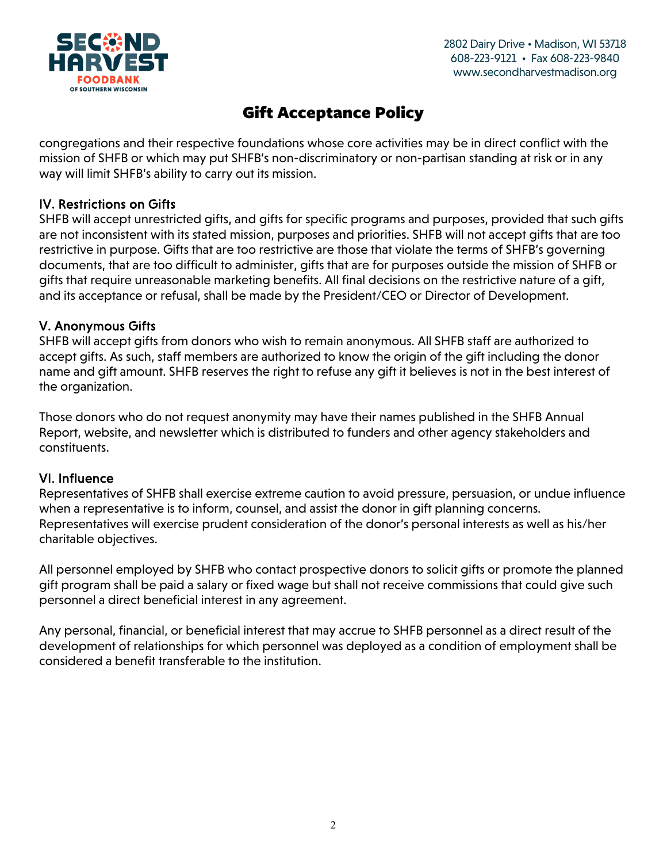

congregations and their respective foundations whose core activities may be in direct conflict with the mission of SHFB or which may put SHFB's non-discriminatory or non-partisan standing at risk or in any way will limit SHFB's ability to carry out its mission.

#### IV. Restrictions on Gifts

SHFB will accept unrestricted gifts, and gifts for specific programs and purposes, provided that such gifts are not inconsistent with its stated mission, purposes and priorities. SHFB will not accept gifts that are too restrictive in purpose. Gifts that are too restrictive are those that violate the terms of SHFB's governing documents, that are too difficult to administer, gifts that are for purposes outside the mission of SHFB or gifts that require unreasonable marketing benefits. All final decisions on the restrictive nature of a gift, and its acceptance or refusal, shall be made by the President/CEO or Director of Development.

#### V. Anonymous Gifts

SHFB will accept gifts from donors who wish to remain anonymous. All SHFB staff are authorized to accept gifts. As such, staff members are authorized to know the origin of the gift including the donor name and gift amount. SHFB reserves the right to refuse any gift it believes is not in the best interest of the organization.

Those donors who do not request anonymity may have their names published in the SHFB Annual Report, website, and newsletter which is distributed to funders and other agency stakeholders and constituents.

#### VI. Influence

Representatives of SHFB shall exercise extreme caution to avoid pressure, persuasion, or undue influence when a representative is to inform, counsel, and assist the donor in gift planning concerns. Representatives will exercise prudent consideration of the donor's personal interests as well as his/her charitable objectives.

All personnel employed by SHFB who contact prospective donors to solicit gifts or promote the planned gift program shall be paid a salary or fixed wage but shall not receive commissions that could give such personnel a direct beneficial interest in any agreement.

Any personal, financial, or beneficial interest that may accrue to SHFB personnel as a direct result of the development of relationships for which personnel was deployed as a condition of employment shall be considered a benefit transferable to the institution.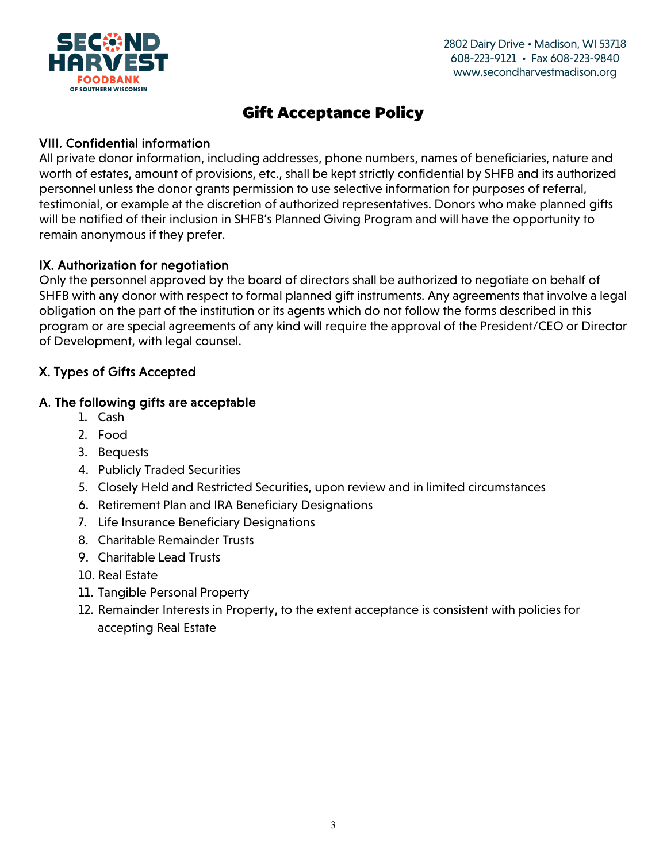

#### VIII. Confidential information

All private donor information, including addresses, phone numbers, names of beneficiaries, nature and worth of estates, amount of provisions, etc., shall be kept strictly confidential by SHFB and its authorized personnel unless the donor grants permission to use selective information for purposes of referral, testimonial, or example at the discretion of authorized representatives. Donors who make planned gifts will be notified of their inclusion in SHFB's Planned Giving Program and will have the opportunity to remain anonymous if they prefer.

### IX. Authorization for negotiation

Only the personnel approved by the board of directors shall be authorized to negotiate on behalf of SHFB with any donor with respect to formal planned gift instruments. Any agreements that involve a legal obligation on the part of the institution or its agents which do not follow the forms described in this program or are special agreements of any kind will require the approval of the President/CEO or Director of Development, with legal counsel.

### X. Types of Gifts Accepted

#### A. The following gifts are acceptable

- 1. Cash
- 2. Food
- 3. Bequests
- 4. Publicly Traded Securities
- 5. Closely Held and Restricted Securities, upon review and in limited circumstances
- 6. Retirement Plan and IRA Beneficiary Designations
- 7. Life Insurance Beneficiary Designations
- 8. Charitable Remainder Trusts
- 9. Charitable Lead Trusts
- 10. Real Estate
- 11. Tangible Personal Property
- 12. Remainder Interests in Property, to the extent acceptance is consistent with policies for accepting Real Estate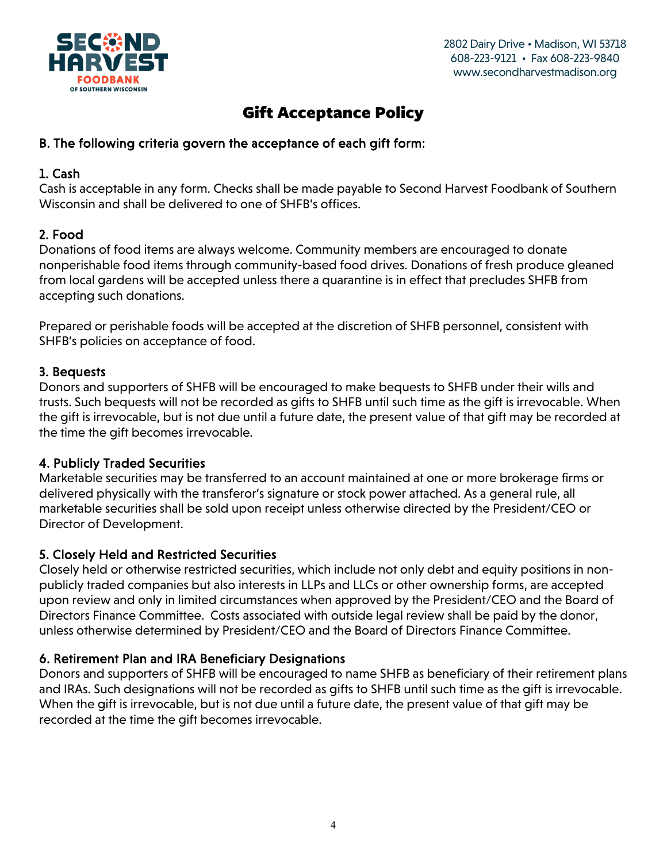

### B. The following criteria govern the acceptance of each gift form:

#### 1. Cash

Cash is acceptable in any form. Checks shall be made payable to Second Harvest Foodbank of Southern Wisconsin and shall be delivered to one of SHFB's offices.

### 2. Food

Donations of food items are always welcome. Community members are encouraged to donate nonperishable food items through community-based food drives. Donations of fresh produce gleaned from local gardens will be accepted unless there a quarantine is in effect that precludes SHFB from accepting such donations.

Prepared or perishable foods will be accepted at the discretion of SHFB personnel, consistent with SHFB's policies on acceptance of food.

#### 3. Bequests

Donors and supporters of SHFB will be encouraged to make bequests to SHFB under their wills and trusts. Such bequests will not be recorded as gifts to SHFB until such time as the gift is irrevocable. When the gift is irrevocable, but is not due until a future date, the present value of that gift may be recorded at the time the gift becomes irrevocable.

#### 4. Publicly Traded Securities

Marketable securities may be transferred to an account maintained at one or more brokerage firms or delivered physically with the transferor's signature or stock power attached. As a general rule, all marketable securities shall be sold upon receipt unless otherwise directed by the President/CEO or Director of Development.

#### 5. Closely Held and Restricted Securities

Closely held or otherwise restricted securities, which include not only debt and equity positions in nonpublicly traded companies but also interests in LLPs and LLCs or other ownership forms, are accepted upon review and only in limited circumstances when approved by the President/CEO and the Board of Directors Finance Committee. Costs associated with outside legal review shall be paid by the donor, unless otherwise determined by President/CEO and the Board of Directors Finance Committee.

#### 6. Retirement Plan and IRA Beneficiary Designations

Donors and supporters of SHFB will be encouraged to name SHFB as beneficiary of their retirement plans and IRAs. Such designations will not be recorded as gifts to SHFB until such time as the gift is irrevocable. When the gift is irrevocable, but is not due until a future date, the present value of that gift may be recorded at the time the gift becomes irrevocable.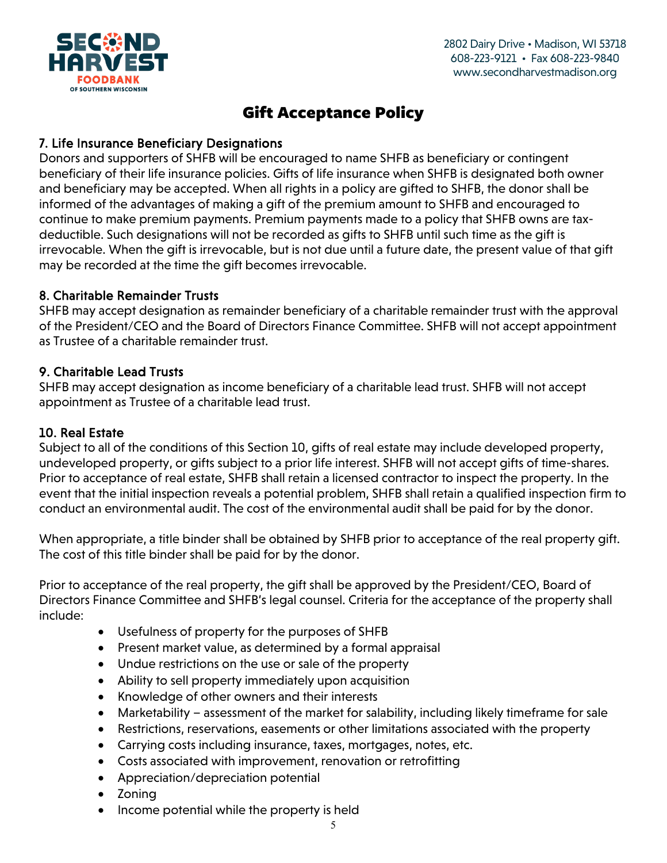

#### 7. Life Insurance Beneficiary Designations

Donors and supporters of SHFB will be encouraged to name SHFB as beneficiary or contingent beneficiary of their life insurance policies. Gifts of life insurance when SHFB is designated both owner and beneficiary may be accepted. When all rights in a policy are gifted to SHFB, the donor shall be informed of the advantages of making a gift of the premium amount to SHFB and encouraged to continue to make premium payments. Premium payments made to a policy that SHFB owns are taxdeductible. Such designations will not be recorded as gifts to SHFB until such time as the gift is irrevocable. When the gift is irrevocable, but is not due until a future date, the present value of that gift may be recorded at the time the gift becomes irrevocable.

#### 8. Charitable Remainder Trusts

SHFB may accept designation as remainder beneficiary of a charitable remainder trust with the approval of the President/CEO and the Board of Directors Finance Committee. SHFB will not accept appointment as Trustee of a charitable remainder trust.

#### 9. Charitable Lead Trusts

SHFB may accept designation as income beneficiary of a charitable lead trust. SHFB will not accept appointment as Trustee of a charitable lead trust.

### 10. Real Estate

Subject to all of the conditions of this Section 10, gifts of real estate may include developed property, undeveloped property, or gifts subject to a prior life interest. SHFB will not accept gifts of time-shares. Prior to acceptance of real estate, SHFB shall retain a licensed contractor to inspect the property. In the event that the initial inspection reveals a potential problem, SHFB shall retain a qualified inspection firm to conduct an environmental audit. The cost of the environmental audit shall be paid for by the donor.

When appropriate, a title binder shall be obtained by SHFB prior to acceptance of the real property gift. The cost of this title binder shall be paid for by the donor.

Prior to acceptance of the real property, the gift shall be approved by the President/CEO, Board of Directors Finance Committee and SHFB's legal counsel. Criteria for the acceptance of the property shall include:

- Usefulness of property for the purposes of SHFB
- Present market value, as determined by a formal appraisal
- Undue restrictions on the use or sale of the property
- Ability to sell property immediately upon acquisition
- Knowledge of other owners and their interests
- Marketability assessment of the market for salability, including likely timeframe for sale
- Restrictions, reservations, easements or other limitations associated with the property
- Carrying costs including insurance, taxes, mortgages, notes, etc.
- Costs associated with improvement, renovation or retrofitting
- Appreciation/depreciation potential
- Zoning
- Income potential while the property is held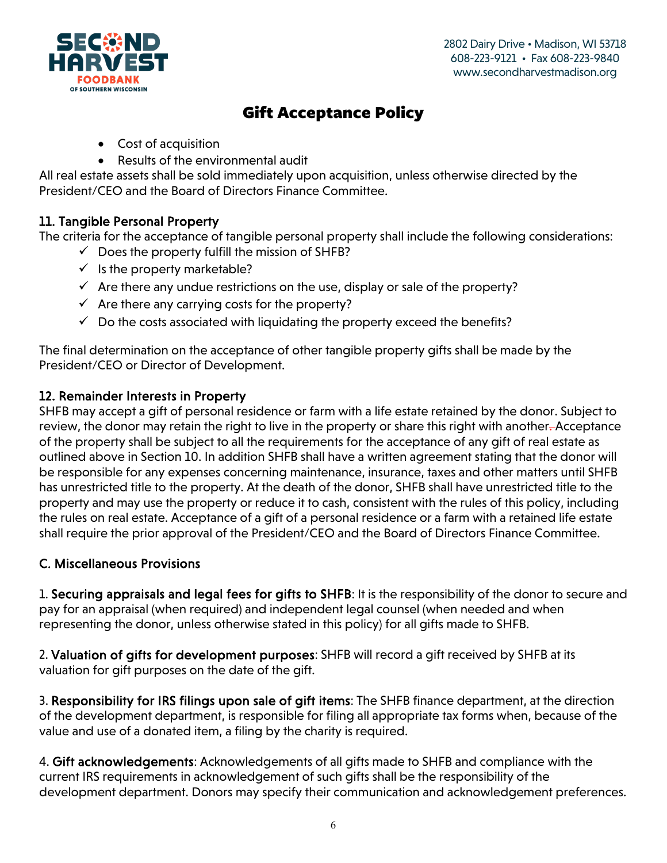

- Cost of acquisition
- Results of the environmental audit

All real estate assets shall be sold immediately upon acquisition, unless otherwise directed by the President/CEO and the Board of Directors Finance Committee.

#### 11. Tangible Personal Property

The criteria for the acceptance of tangible personal property shall include the following considerations:

- $\checkmark$  Does the property fulfill the mission of SHFB?
- $\checkmark$  is the property marketable?
- $\checkmark$  Are there any undue restrictions on the use, display or sale of the property?
- $\checkmark$  Are there any carrying costs for the property?
- $\checkmark$  Do the costs associated with liquidating the property exceed the benefits?

The final determination on the acceptance of other tangible property gifts shall be made by the President/CEO or Director of Development.

#### 12. Remainder Interests in Property

SHFB may accept a gift of personal residence or farm with a life estate retained by the donor. Subject to review, the donor may retain the right to live in the property or share this right with another-Acceptance of the property shall be subject to all the requirements for the acceptance of any gift of real estate as outlined above in Section 10. In addition SHFB shall have a written agreement stating that the donor will be responsible for any expenses concerning maintenance, insurance, taxes and other matters until SHFB has unrestricted title to the property. At the death of the donor, SHFB shall have unrestricted title to the property and may use the property or reduce it to cash, consistent with the rules of this policy, including the rules on real estate. Acceptance of a gift of a personal residence or a farm with a retained life estate shall require the prior approval of the President/CEO and the Board of Directors Finance Committee.

#### C. Miscellaneous Provisions

1. Securing appraisals and legal fees for gifts to SHFB: It is the responsibility of the donor to secure and pay for an appraisal (when required) and independent legal counsel (when needed and when representing the donor, unless otherwise stated in this policy) for all gifts made to SHFB.

2. Valuation of gifts for development purposes: SHFB will record a gift received by SHFB at its valuation for gift purposes on the date of the gift.

3. Responsibility for IRS filings upon sale of gift items: The SHFB finance department, at the direction of the development department, is responsible for filing all appropriate tax forms when, because of the value and use of a donated item, a filing by the charity is required.

4. Gift acknowledgements: Acknowledgements of all gifts made to SHFB and compliance with the current IRS requirements in acknowledgement of such gifts shall be the responsibility of the development department. Donors may specify their communication and acknowledgement preferences.